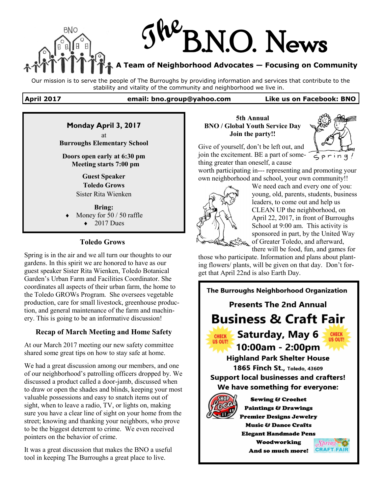

Our mission is to serve the people of The Burroughs by providing information and services that contribute to the stability and vitality of the community and neighborhood we live in.

#### **April 2017 email: bno.group@yahoo.com Like us on Facebook: BNO**

# **Monday April 3, 2017**

at **Burroughs Elementary School** 

**Doors open early at 6:30 pm Meeting starts 7:00 pm**

> **Guest Speaker Toledo Grows** Sister Rita Wienken

**Bring:** Money for 50 / 50 raffle  $\triangleleft$  2017 Dues

## **Toledo Grows**

Spring is in the air and we all turn our thoughts to our gardens. In this spirit we are honored to have as our guest speaker Sister Rita Wienken, Toledo Botanical Garden's Urban Farm and Facilities Coordinator. She coordinates all aspects of their urban farm, the home to the Toledo GROWs Program. She oversees vegetable production, care for small livestock, greenhouse production, and general maintenance of the farm and machinery. This is going to be an informative discussion!

## **Recap of March Meeting and Home Safety**

At our March 2017 meeting our new safety committee shared some great tips on how to stay safe at home.

We had a great discussion among our members, and one of our neighborhood's patrolling officers dropped by. We discussed a product called a door-jamb, discussed when to draw or open the shades and blinds, keeping your most valuable possessions and easy to snatch items out of sight, when to leave a radio, TV, or lights on, making sure you have a clear line of sight on your home from the street; knowing and thanking your neighbors, who prove to be the biggest deterrent to crime. We even received pointers on the behavior of crime.

It was a great discussion that makes the BNO a useful tool in keeping The Burroughs a great place to live.

### **5th Annual BNO / Global Youth Service Day Join the party!!**



Give of yourself, don't be left out, and join the excitement. BE a part of something greater than oneself, a cause

worth participating in--- representing and promoting your own neighborhood and school, your own community!!



We need each and every one of you: young, old, parents, students, business leaders, to come out and help us CLEAN UP the neighborhood, on April 22, 2017, in front of Burroughs School at 9:00 am. This activity is sponsored in part, by the United Way of Greater Toledo, and afterward,

there will be food, fun, and games for those who participate. Information and plans about planting flowers/ plants, will be given on that day. Don't for-